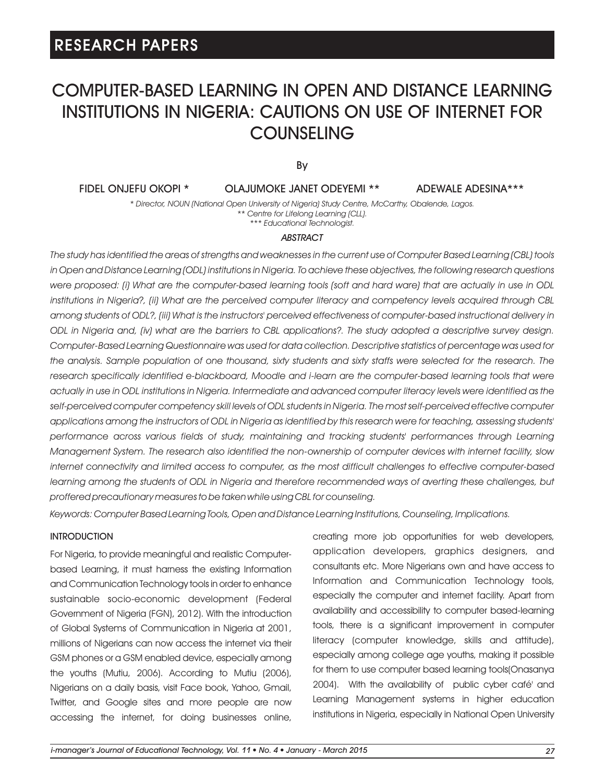# COMPUTER-BASED LEARNING IN OPEN AND DISTANCE LEARNING INSTITUTIONS IN NIGERIA: CAUTIONS ON USE OF INTERNET FOR **COUNSELING**

By

FIDEL ONJEFU OKOPI \*

OLAJUMOKE JANET ODEYEMI \*\*

ADEWALE ADESINA\*\*\*

*\* Director, NOUN (National Open University of Nigeria) Study Centre, McCarthy, Obalende, Lagos. \*\* Centre for Lifelong Learning (CLL). \*\*\* Educational Technologist.* 

#### *ABSTRACT*

*The study has identified the areas of strengths and weaknesses in the current use of Computer Based Learning (CBL) tools in Open and Distance Learning (ODL) institutions in Nigeria. To achieve these objectives, the following research questions were proposed: (i) What are the computer-based learning tools (soft and hard ware) that are actually in use in ODL institutions in Nigeria?, (ii) What are the perceived computer literacy and competency levels acquired through CBL among students of ODL?, (iii) What is the instructors' perceived effectiveness of computer-based instructional delivery in ODL in Nigeria and, (iv) what are the barriers to CBL applications?. The study adopted a descriptive survey design. Computer-Based Learning Questionnaire was used for data collection. Descriptive statistics of percentage was used for the analysis. Sample population of one thousand, sixty students and sixty staffs were selected for the research. The*  research specifically identified e-blackboard, Moodle and i-learn are the computer-based learning tools that were *actually in use in ODL institutions in Nigeria. Intermediate and advanced computer literacy levels were identified as the self-perceived computer competency skill levels of ODL students in Nigeria. The most self-perceived effective computer applications among the instructors of ODL in Nigeria as identified by this research were for teaching, assessing students' performance across various fields of study, maintaining and tracking students' performances through Learning Management System. The research also identified the non-ownership of computer devices with internet facility, slow internet connectivity and limited access to computer, as the most difficult challenges to effective computer-based learning among the students of ODL in Nigeria and therefore recommended ways of averting these challenges, but proffered precautionary measures to be taken while using CBL for counseling.*

*Keywords: Computer Based Learning Tools, Open and Distance Learning Institutions, Counseling, Implications.*

### INTRODUCTION

For Nigeria, to provide meaningful and realistic Computerbased Learning, it must harness the existing Information and Communication Technology tools in order to enhance sustainable socio-economic development (Federal Government of Nigeria (FGN), 2012). With the introduction of Global Systems of Communication in Nigeria at 2001, millions of Nigerians can now access the internet via their GSM phones or a GSM enabled device, especially among the youths (Mutiu, 2006). According to Mutiu (2006), Nigerians on a daily basis, visit Face book, Yahoo, Gmail, Twitter, and Google sites and more people are now accessing the internet, for doing businesses online,

creating more job opportunities for web developers, application developers, graphics designers, and consultants etc. More Nigerians own and have access to Information and Communication Technology tools, especially the computer and internet facility. Apart from availability and accessibility to computer based-learning tools, there is a significant improvement in computer literacy (computer knowledge, skills and attitude), especially among college age youths, making it possible for them to use computer based learning tools(Onasanya 2004). With the availability of public cyber café' and Learning Management systems in higher education institutions in Nigeria, especially in National Open University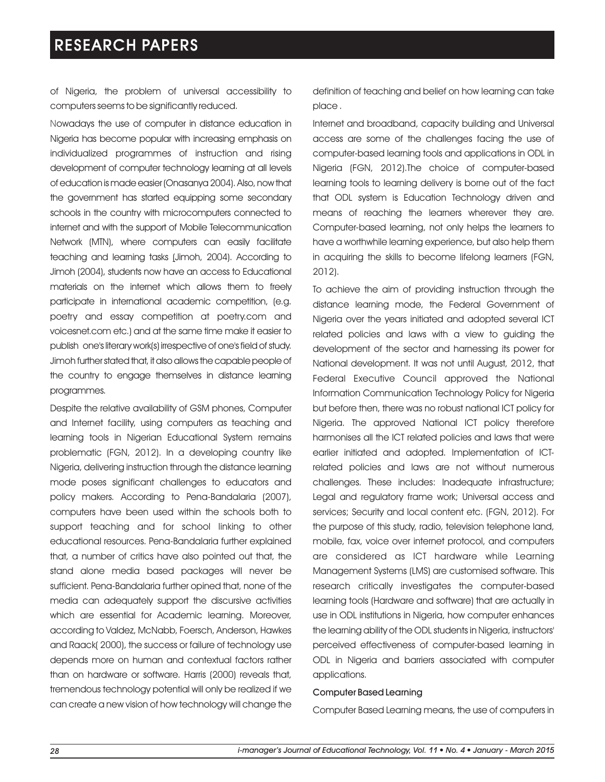of Nigeria, the problem of universal accessibility to computers seems to be significantly reduced.

Nowadays the use of computer in distance education in Nigeria has become popular with increasing emphasis on individualized programmes of instruction and rising development of computer technology learning at all levels of education is made easier (Onasanya2004). Also, nowthat the government has started equipping some secondary schools in the country with microcomputers connected to internet and with the support of Mobile Telecommunication Network (MTN), where computers can easily facilitate teaching and learning tasks (Jimoh, 2004). According to Jimoh (2004), students now have an access to Educational materials on the internet which allows them to freely participate in international academic competition, (e.g. poetry and essay competition at poetry.com and voicesnet.com etc.) and at the same time make it easier to publish one's literary work(s) irrespective of one's field of study. Jimoh further stated that, it also allows the capable people of the country to engage themselves in distance learning programmes.

Despite the relative availability of GSM phones, Computer and Internet facility, using computers as teaching and learning tools in Nigerian Educational System remains problematic (FGN, 2012). In a developing country like Nigeria, delivering instruction through the distance learning mode poses significant challenges to educators and policy makers. According to Pena-Bandalaria (2007), computers have been used within the schools both to support teaching and for school linking to other educational resources. Pena-Bandalaria further explained that, a number of critics have also pointed out that, the stand alone media based packages will never be sufficient. Pena-Bandalaria further opined that, none of the media can adequately support the discursive activities which are essential for Academic learning. Moreover, according to Valdez, McNabb, Foersch, Anderson, Hawkes and Raack( 2000), the success or failure of technology use depends more on human and contextual factors rather than on hardware or software. Harris (2000) reveals that, tremendous technology potential will only be realized if we can create a new vision of how technology will change the definition of teaching and belief on how learning can take place .

Internet and broadband, capacity building and Universal access are some of the challenges facing the use of computer-based learning tools and applications in ODL in Nigeria (FGN, 2012).The choice of computer-based learning tools to learning delivery is borne out of the fact that ODL system is Education Technology driven and means of reaching the learners wherever they are. Computer-based learning, not only helps the learners to have a worthwhile learning experience, but also help them in acquiring the skills to become lifelong learners (FGN, 2012).

To achieve the aim of providing instruction through the distance learning mode, the Federal Government of Nigeria over the years initiated and adopted several ICT related policies and laws with a view to guiding the development of the sector and harnessing its power for National development. It was not until August, 2012, that Federal Executive Council approved the National Information Communication Technology Policy for Nigeria but before then, there was no robust national ICT policy for Nigeria. The approved National ICT policy therefore harmonises all the ICT related policies and laws that were earlier initiated and adopted. Implementation of ICTrelated policies and laws are not without numerous challenges. These includes: Inadequate infrastructure; Legal and regulatory frame work; Universal access and services; Security and local content etc. (FGN, 2012). For the purpose of this study, radio, television telephone land, mobile, fax, voice over internet protocol, and computers are considered as ICT hardware while Learning Management Systems (LMS) are customised software. This research critically investigates the computer-based learning tools (Hardware and software) that are actually in use in ODL institutions in Nigeria, how computer enhances the learning ability of the ODL students in Nigeria, instructors' perceived effectiveness of computer-based learning in ODL in Nigeria and barriers associated with computer applications.

#### Computer Based Learning

Computer Based Learning means, the use of computers in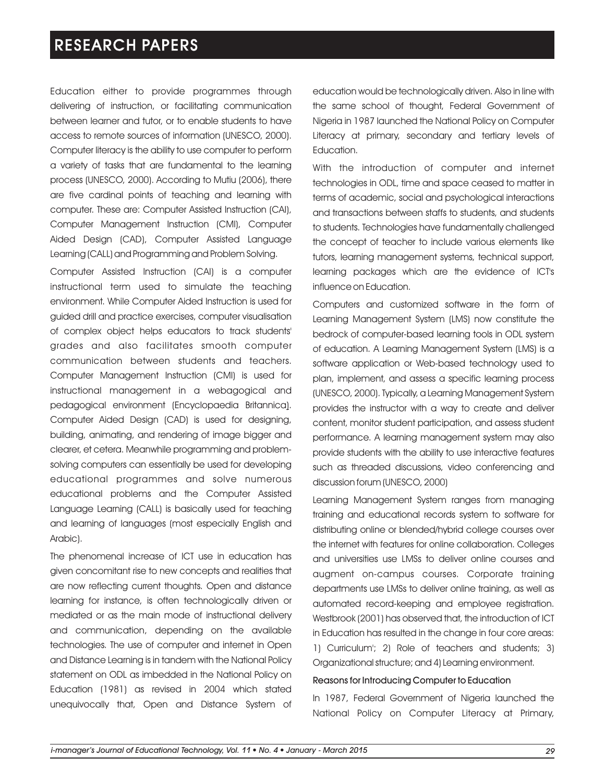Education either to provide programmes through delivering of instruction, or facilitating communication between learner and tutor, or to enable students to have access to remote sources of information (UNESCO, 2000). Computer literacy is the ability to use computer to perform a variety of tasks that are fundamental to the learning process (UNESCO, 2000). According to Mutiu (2006), there are five cardinal points of teaching and learning with computer. These are: Computer Assisted Instruction (CAI), Computer Management Instruction (CMI), Computer Aided Design (CAD), Computer Assisted Language Learning (CALL) and Programming and Problem Solving.

Computer Assisted Instruction (CAI) is a computer instructional term used to simulate the teaching environment. While Computer Aided Instruction is used for guided drill and practice exercises, computer visualisation of complex object helps educators to track students' grades and also facilitates smooth computer communication between students and teachers. Computer Management Instruction (CMI) is used for instructional management in a webagogical and pedagogical environment (Encyclopaedia Britannica). Computer Aided Design (CAD) is used for designing, building, animating, and rendering of image bigger and clearer, et cetera. Meanwhile programming and problemsolving computers can essentially be used for developing educational programmes and solve numerous educational problems and the Computer Assisted Language Learning (CALL) is basically used for teaching and learning of languages (most especially English and Arabic).

The phenomenal increase of ICT use in education has given concomitant rise to new concepts and realities that are now reflecting current thoughts. Open and distance learning for instance, is often technologically driven or mediated or as the main mode of instructional delivery and communication, depending on the available technologies. The use of computer and internet in Open and Distance Learning is in tandem with the National Policy statement on ODL as imbedded in the National Policy on Education (1981) as revised in 2004 which stated unequivocally that, Open and Distance System of education would be technologically driven. Also in line with the same school of thought, Federal Government of Nigeria in 1987 launched the National Policy on Computer Literacy at primary, secondary and tertiary levels of Education.

With the introduction of computer and internet technologies in ODL, time and space ceased to matter in terms of academic, social and psychological interactions and transactions between staffs to students, and students to students. Technologies have fundamentally challenged the concept of teacher to include various elements like tutors, learning management systems, technical support, learning packages which are the evidence of ICT's influence on Education.

Computers and customized software in the form of Learning Management System (LMS) now constitute the bedrock of computer-based learning tools in ODL system of education. A Learning Management System (LMS) is a software application or Web-based technology used to plan, implement, and assess a specific learning process (UNESCO, 2000). Typically, a Learning Management System provides the instructor with a way to create and deliver content, monitor student participation, and assess student performance. A learning management system may also provide students with the ability to use interactive features such as threaded discussions, video conferencing and discussion forum (UNESCO, 2000)

Learning Management System ranges from managing training and educational records system to software for distributing online or blended/hybrid college courses over the internet with features for online collaboration. Colleges and universities use LMSs to deliver online courses and augment on-campus courses. Corporate training departments use LMSs to deliver online training, as well as automated record-keeping and employee registration. Westbrook (2001) has observed that, the introduction of ICT in Education has resulted in the change in four core areas: 1) Curriculum'; 2) Role of teachers and students; 3) Organizational structure; and 4) Learning environment.

#### Reasons for Introducing Computer to Education

In 1987, Federal Government of Nigeria launched the National Policy on Computer Literacy at Primary,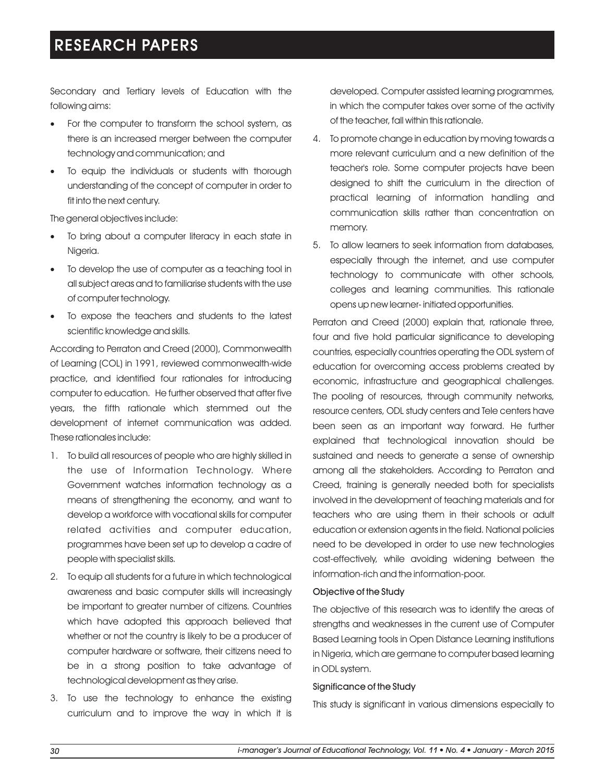Secondary and Tertiary levels of Education with the following aims:

- ·For the computer to transform the school system, as there is an increased merger between the computer technology and communication; and
- To equip the individuals or students with thorough understanding of the concept of computer in order to fit into the next century.

The general objectives include:

- To bring about a computer literacy in each state in Nigeria.
- To develop the use of computer as a teaching tool in all subject areas and to familiarise students with the use of computer technology.
- To expose the teachers and students to the latest scientific knowledge and skills.

According to Perraton and Creed (2000), Commonwealth of Learning (COL) in 1991, reviewed commonwealth-wide practice, and identified four rationales for introducing computer to education. He further observed that after five years, the fifth rationale which stemmed out the development of internet communication was added. These rationales include:

- 1. To build all resources of people who are highly skilled in the use of Information Technology. Where Government watches information technology as a means of strengthening the economy, and want to develop a workforce with vocational skills for computer related activities and computer education, programmes have been set up to develop a cadre of people with specialist skills.
- 2. To equip all students for a future in which technological awareness and basic computer skills will increasingly be important to greater number of citizens. Countries which have adopted this approach believed that whether or not the country is likely to be a producer of computer hardware or software, their citizens need to be in a strong position to take advantage of technological development as they arise.
- 3. To use the technology to enhance the existing curriculum and to improve the way in which it is

developed. Computer assisted learning programmes, in which the computer takes over some of the activity of the teacher, fall within this rationale.

- 4. To promote change in education by moving towards a more relevant curriculum and a new definition of the teacher's role. Some computer projects have been designed to shift the curriculum in the direction of practical learning of information handling and communication skills rather than concentration on memory.
- 5. To allow learners to seek information from databases, especially through the internet, and use computer technology to communicate with other schools, colleges and learning communities. This rationale opens up new learner- initiated opportunities.

Perraton and Creed (2000) explain that, rationale three, four and five hold particular significance to developing countries, especially countries operating the ODL system of education for overcoming access problems created by economic, infrastructure and geographical challenges. The pooling of resources, through community networks, resource centers, ODL study centers and Tele centers have been seen as an important way forward. He further explained that technological innovation should be sustained and needs to generate a sense of ownership among all the stakeholders. According to Perraton and Creed, training is generally needed both for specialists involved in the development of teaching materials and for teachers who are using them in their schools or adult education or extension agents in the field. National policies need to be developed in order to use new technologies cost-effectively, while avoiding widening between the information-rich and the information-poor.

## Objective of the Study

The objective of this research was to identify the areas of strengths and weaknesses in the current use of Computer Based Learning tools in Open Distance Learning institutions in Nigeria, which are germane to computer based learning in ODL system.

### Significance of the Study

This study is significant in various dimensions especially to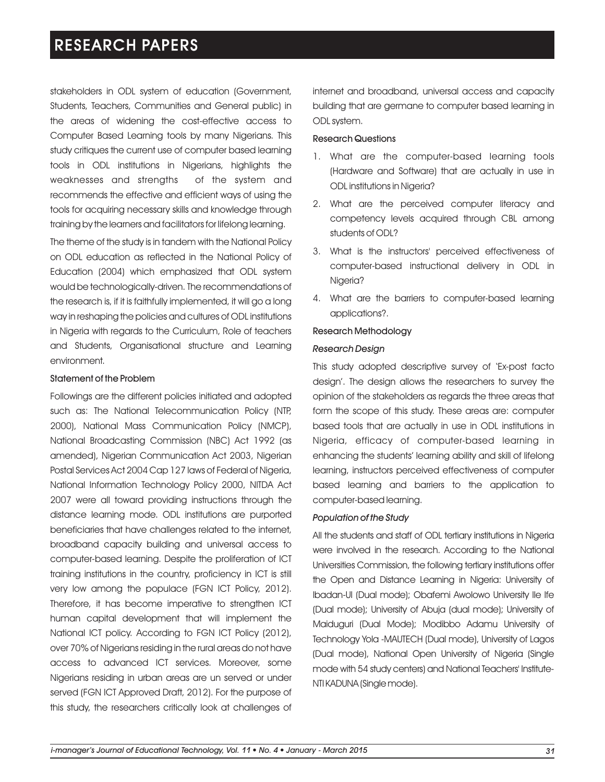stakeholders in ODL system of education (Government, Students, Teachers, Communities and General public) in the areas of widening the cost-effective access to Computer Based Learning tools by many Nigerians. This study critiques the current use of computer based learning tools in ODL institutions in Nigerians, highlights the weaknesses and strengths of the system and recommends the effective and efficient ways of using the tools for acquiring necessary skills and knowledge through training by the learners and facilitators for lifelong learning.

The theme of the study is in tandem with the National Policy on ODL education as reflected in the National Policy of Education (2004) which emphasized that ODL system would be technologically-driven. The recommendations of the research is, if it is faithfully implemented, it will go a long way in reshaping the policies and cultures of ODL institutions in Nigeria with regards to the Curriculum, Role of teachers and Students, Organisational structure and Learning environment.

#### Statement of the Problem

Followings are the different policies initiated and adopted such as: The National Telecommunication Policy (NTP, 2000), National Mass Communication Policy (NMCP), National Broadcasting Commission (NBC) Act 1992 (as amended), Nigerian Communication Act 2003, Nigerian Postal Services Act 2004 Cap 127 laws of Federal of Nigeria, National Information Technology Policy 2000, NITDA Act 2007 were all toward providing instructions through the distance learning mode. ODL institutions are purported beneficiaries that have challenges related to the internet, broadband capacity building and universal access to computer-based learning. Despite the proliferation of ICT training institutions in the country, proficiency in ICT is still very low among the populace (FGN ICT Policy, 2012). Therefore, it has become imperative to strengthen ICT human capital development that will implement the National ICT policy. According to FGN ICT Policy (2012), over 70% of Nigerians residing in the rural areas do not have access to advanced ICT services. Moreover, some Nigerians residing in urban areas are un served or under served (FGN ICT Approved Draft, 2012). For the purpose of this study, the researchers critically look at challenges of

internet and broadband, universal access and capacity building that are germane to computer based learning in ODL system.

### Research Questions

- 1. What are the computer-based learning tools (Hardware and Software) that are actually in use in ODL institutions in Nigeria?
- 2. What are the perceived computer literacy and competency levels acquired through CBL among students of ODL?
- 3. What is the instructors' perceived effectiveness of computer-based instructional delivery in ODL in Nigeria?
- 4. What are the barriers to computer-based learning applications?.

#### Research Methodology

#### *Research Design*

This study adopted descriptive survey of 'Ex-post facto design'. The design allows the researchers to survey the opinion of the stakeholders as regards the three areas that form the scope of this study. These areas are: computer based tools that are actually in use in ODL institutions in Nigeria, efficacy of computer-based learning in enhancing the students' learning ability and skill of lifelong learning, instructors perceived effectiveness of computer based learning and barriers to the application to computer-based learning.

#### *Population of the Study*

All the students and staff of ODL tertiary institutions in Nigeria were involved in the research. According to the National Universities Commission, the following tertiary institutions offer the Open and Distance Learning in Nigeria: University of Ibadan-UI (Dual mode); Obafemi Awolowo University Ile Ife (Dual mode); University of Abuja (dual mode); University of Maiduguri (Dual Mode); Modibbo Adamu University of Technology Yola -MAUTECH (Dual mode), University of Lagos (Dual mode), National Open University of Nigeria (Single mode with 54 study centers) and National Teachers' Institute-NTI KADUNA(Singlemode).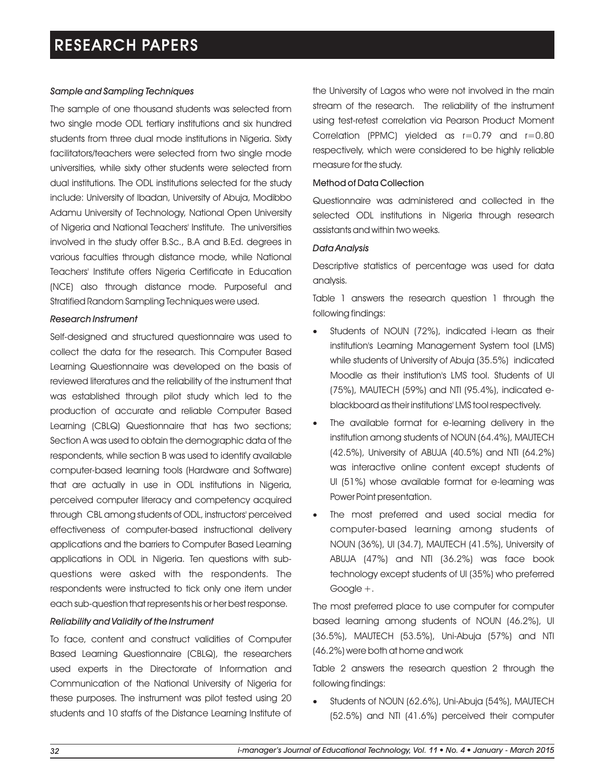### *Sample and Sampling Techniques*

The sample of one thousand students was selected from two single mode ODL tertiary institutions and six hundred students from three dual mode institutions in Nigeria. Sixty facilitators/teachers were selected from two single mode universities, while sixty other students were selected from dual institutions. The ODL institutions selected for the study include: University of Ibadan, University of Abuja, Modibbo Adamu University of Technology, National Open University of Nigeria and National Teachers' Institute. The universities involved in the study offer B.Sc., B.A and B.Ed. degrees in various faculties through distance mode, while National Teachers' Institute offers Nigeria Certificate in Education (NCE) also through distance mode. Purposeful and Stratified Random Sampling Techniques were used.

### *Research Instrument*

Self-designed and structured questionnaire was used to collect the data for the research. This Computer Based Learning Questionnaire was developed on the basis of reviewed literatures and the reliability of the instrument that was established through pilot study which led to the production of accurate and reliable Computer Based Learning (CBLQ) Questionnaire that has two sections; Section A was used to obtain the demographic data of the respondents, while section B was used to identify available computer-based learning tools (Hardware and Software) that are actually in use in ODL institutions in Nigeria, perceived computer literacy and competency acquired through CBL among students of ODL, instructors' perceived effectiveness of computer-based instructional delivery applications and the barriers to Computer Based Learning applications in ODL in Nigeria. Ten questions with subquestions were asked with the respondents. The respondents were instructed to tick only one item under each sub-question that represents his or her best response.

### *Reliability and Validity of the Instrument*

To face, content and construct validities of Computer Based Learning Questionnaire (CBLQ), the researchers used experts in the Directorate of Information and Communication of the National University of Nigeria for these purposes. The instrument was pilot tested using 20 students and 10 staffs of the Distance Learning Institute of

the University of Lagos who were not involved in the main stream of the research. The reliability of the instrument using test-retest correlation via Pearson Product Moment Correlation (PPMC) yielded as r=0.79 and r=0.80 respectively, which were considered to be highly reliable measure for the study.

### Method of Data Collection

Questionnaire was administered and collected in the selected ODL institutions in Nigeria through research assistants and within two weeks.

### *Data Analysis*

Descriptive statistics of percentage was used for data analysis.

Table 1 answers the research question 1 through the following findings:

- Students of NOUN (72%), indicated i-learn as their institution's Learning Management System tool (LMS) while students of University of Abuja (35.5%) indicated Moodle as their institution's LMS tool. Students of UI (75%), MAUTECH (59%) and NTI (95.4%), indicated eblackboard as their institutions' LMS tool respectively.
- The available format for e-learning delivery in the institution among students of NOUN (64.4%), MAUTECH (42.5%), University of ABUJA (40.5%) and NTI (64.2%) was interactive online content except students of UI (51%) whose available format for e-learning was Power Point presentation.
- The most preferred and used social media for computer-based learning among students of NOUN (36%), UI (34.7), MAUTECH (41.5%), University of ABUJA (47%) and NTI (36.2%) was face book technology except students of UI (35%) who preferred Google +.

The most preferred place to use computer for computer based learning among students of NOUN (46.2%), UI (36.5%), MAUTECH (53.5%), Uni-Abuja (57%) and NTI (46.2%) were both at home and work

Table 2 answers the research question 2 through the following findings:

Students of NOUN (62.6%), Uni-Abuja (54%), MAUTECH (52.5%) and NTI (41.6%) perceived their computer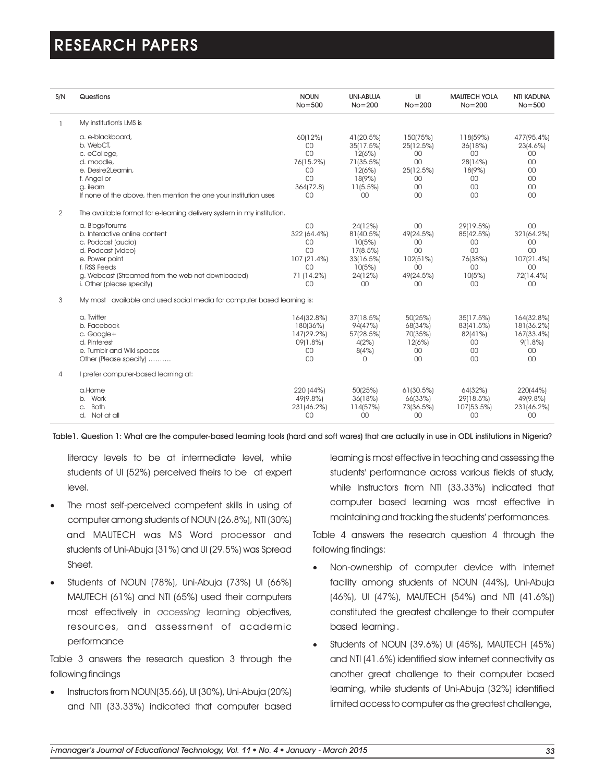| S/N            | Questions                                                                                                                                                                                                        | <b>NOUN</b><br>$No = 500$                                              | UNI-ABUJA<br>$No = 200$                                                             | UI<br>$No = 200$                                                          | <b>MAUTECH YOLA</b><br>$No = 200$                                                | <b>NTI KADUNA</b><br>$No = 500$                                     |
|----------------|------------------------------------------------------------------------------------------------------------------------------------------------------------------------------------------------------------------|------------------------------------------------------------------------|-------------------------------------------------------------------------------------|---------------------------------------------------------------------------|----------------------------------------------------------------------------------|---------------------------------------------------------------------|
|                | My institution's LMS is                                                                                                                                                                                          |                                                                        |                                                                                     |                                                                           |                                                                                  |                                                                     |
|                | a. e-blackboard,<br>b. WebCT,<br>c. eCollege,<br>d. moodle,<br>e. Desire2Learnin,<br>f. Angel or<br>g. ilearn<br>If none of the above, then mention the one your institution uses                                | 60(12%)<br>00<br>00<br>76(15.2%)<br>00<br>00<br>364(72.8)<br>00        | 41(20.5%)<br>35(17.5%)<br>12(6%)<br>71(35.5%)<br>12(6%)<br>18(9%)<br>11(5.5%)<br>00 | 150(75%)<br>25(12.5%)<br>00<br>$00\,$<br>25(12.5%)<br>00<br>00<br>$00 \,$ | 118(59%)<br>36(18%)<br>00<br>28(14%)<br>18(9%)<br>00<br>00<br>00                 | 477(95.4%)<br>23(4.6%)<br>00<br>00<br>00<br>00<br>00<br>00          |
| $\overline{2}$ | The available format for e-learning delivery system in my institution.                                                                                                                                           |                                                                        |                                                                                     |                                                                           |                                                                                  |                                                                     |
|                | a. Blogs/forums<br>b. Interactive online content<br>c. Podcast (audio)<br>d. Podcast (video)<br>e. Power point<br>f. RSS Feeds<br>g. Webcast (Streamed from the web not downloaded)<br>i. Other (please specify) | 00<br>322 (64.4%)<br>00<br>00<br>107 (21.4%)<br>00<br>71 (14.2%)<br>00 | 24(12%)<br>81(40.5%)<br>10(5%)<br>17(8.5%)<br>33(16.5%)<br>10(5%)<br>24(12%)<br>00  | 00<br>49(24.5%)<br>00<br>00<br>102(51%)<br>$00 \,$<br>49(24.5%)<br>00     | 29(19.5%)<br>85(42.5%)<br>00<br>00<br>76(38%)<br>00 <sup>1</sup><br>10(5%)<br>00 | 00<br>321(64.2%)<br>00<br>00<br>107(21.4%)<br>00<br>72(14.4%)<br>00 |
| 3              | My most available and used social media for computer based learning is:                                                                                                                                          |                                                                        |                                                                                     |                                                                           |                                                                                  |                                                                     |
|                | a. Twitter<br>b. Facebook<br>c. Google+<br>d. Pinterest<br>e. Tumblr and Wiki spaces<br>Other (Please specify)                                                                                                   | 164(32.8%)<br>180(36%)<br>147(29.2%)<br>09(1.8%)<br>00<br>00           | 37(18.5%)<br>94(47%)<br>57(28.5%)<br>4(2%)<br>8(4%)<br>$\cap$                       | 50(25%)<br>68(34%)<br>70(35%)<br>12(6%)<br>00<br>$00 \,$                  | 35(17.5%)<br>83(41.5%)<br>82(41%)<br>00<br>00<br>00 <sup>1</sup>                 | 164(32.8%)<br>181(36.2%)<br>167(33.4%)<br>$9(1.8\%)$<br>00<br>00    |
| $\overline{4}$ | I prefer computer-based learning at:                                                                                                                                                                             |                                                                        |                                                                                     |                                                                           |                                                                                  |                                                                     |
|                | a.Home<br>b. Work<br><b>Both</b><br>C.<br>d. Not at all                                                                                                                                                          | 220 (44%)<br>49(9.8%)<br>231(46.2%)<br>00                              | 50(25%)<br>36(18%)<br>114(57%)<br>00                                                | 61(30.5%)<br>66(33%)<br>73(36.5%)<br>00                                   | 64(32%)<br>29(18.5%)<br>107(53.5%)<br>00                                         | 220(44%)<br>49(9.8%)<br>231(46.2%)<br>00                            |

Table1. Question 1: What are the computer-based learning tools (hard and soft wares) that are actually in use in ODL institutions in Nigeria?

literacy levels to be at intermediate level, while students of UI (52%) perceived theirs to be at expert level.

- The most self-perceived competent skills in using of computer among students of NOUN (26.8%), NTI (30%) and MAUTECH was MS Word processor and students of Uni-Abuja (31%) and UI (29.5%) was Spread Sheet.
- ·Students of NOUN (78%), Uni-Abuja (73%) UI (66%) MAUTECH (61%) and NTI (65%) used their computers most effectively in access*ing* learning objectives, resources, and assessment of academic performance

Table 3 answers the research question 3 through the following findings

·Instructors from NOUN(35.66), UI (30%), Uni-Abuja (20%) and NTI (33.33%) indicated that computer based learning is most effective in teaching and assessing the students' performance across various fields of study, while Instructors from NTI (33.33%) indicated that computer based learning was most effective in maintaining and tracking the students' performances.

Table 4 answers the research question 4 through the following findings:

- ·Non-ownership of computer device with internet facility among students of NOUN (44%), Uni-Abuja (46%), UI (47%), MAUTECH (54%) and NTI (41.6%)) constituted the greatest challenge to their computer based learning .
- ·Students of NOUN (39.6%) UI (45%), MAUTECH (45%) and NTI (41.6%) identified slow internet connectivity as another great challenge to their computer based learning, while students of Uni-Abuja (32%) identified limited access to computer as the greatest challenge,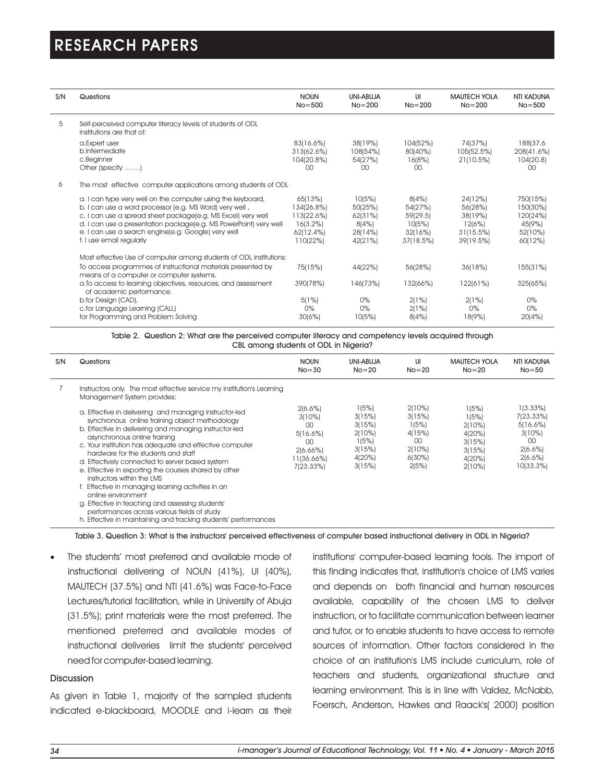| S/N | Questions                                                                                                                                                                                                                                                                                                                                      | <b>NOUN</b><br>$No = 500$                                                   | UNI-ABUJA<br>$No = 200$                                     | UI<br>$No = 200$                                               | <b>MAUTECH YOLA</b><br>$No = 200$                                 | NTI KADUNA<br>$No = 500$                                         |
|-----|------------------------------------------------------------------------------------------------------------------------------------------------------------------------------------------------------------------------------------------------------------------------------------------------------------------------------------------------|-----------------------------------------------------------------------------|-------------------------------------------------------------|----------------------------------------------------------------|-------------------------------------------------------------------|------------------------------------------------------------------|
| 5   | Self-perceived computer literacy levels of students of ODL<br>institutions are that of:                                                                                                                                                                                                                                                        |                                                                             |                                                             |                                                                |                                                                   |                                                                  |
|     | a.Expert user<br>b.Intermediate<br>c.Beginner<br>Other (specify )                                                                                                                                                                                                                                                                              | 83(16.6%)<br>313(62.6%)<br>104(20.8%)<br>OO.                                | 38(19%)<br>108(54%)<br>54(27%)<br>00                        | 104(52%)<br>80(40%)<br>16(8%)<br>$00 \,$                       | 74(37%)<br>105(52.5%)<br>21(10.5%)                                | 188(37.6<br>208(41.6%)<br>104(20.8)<br>$00 \,$                   |
| 6   | The most effective computer applications among students of ODL                                                                                                                                                                                                                                                                                 |                                                                             |                                                             |                                                                |                                                                   |                                                                  |
|     | a. I can type very well on the computer using the keyboard,<br>b. I can use a word processor (e.g. MS Word) very well,<br>c. I can use a spread sheet package(e.g. MS Excel) very well<br>d. I can use a presentation package(e.g. MS PowerPoint) very well<br>e. I can use a search engine(e.g. Google) very well<br>f. I use email regularly | 65(13%)<br>134(26.8%)<br>113(22.6%)<br>$16(3.2\%)$<br>62(12.4%)<br>110(22%) | 10(5%)<br>50(25%)<br>62(31%)<br>8(4%)<br>28(14%)<br>42(21%) | 8(4%)<br>54(27%)<br>59(29.5)<br>10(5%)<br>32(16%)<br>37(18.5%) | 24(12%)<br>56(28%)<br>38(19%)<br>12(6%)<br>31(15.5%)<br>39(19.5%) | 750(15%)<br>150(30%)<br>120(24%)<br>45(9%)<br>52(10%)<br>60(12%) |
|     | Most effective Use of computer among students of ODL institutions:                                                                                                                                                                                                                                                                             |                                                                             |                                                             |                                                                |                                                                   |                                                                  |
|     | To access programmes of instructional materials presented by<br>means of a computer or computer systems.                                                                                                                                                                                                                                       | 75(15%)                                                                     | 44(22%)                                                     | 56(28%)                                                        | 36(18%)                                                           | 155(31%)                                                         |
|     | a. To access to learning objectives, resources, and assessment<br>of academic performance.                                                                                                                                                                                                                                                     | 390(78%)                                                                    | 146(73%)                                                    | 132(66%)                                                       | 122(61%)                                                          | 325(65%)                                                         |
|     | b.for Design (CAD),<br>c.for Language Learning (CALL)<br>for Programming and Problem Solving                                                                                                                                                                                                                                                   | 5(1%)<br>$0\%$<br>30(6%)                                                    | $0\%$<br>$0\%$<br>10(5%)                                    | 2(1%)<br>2(1%)<br>8(4%)                                        | 2(1%)<br>$0\%$<br>18(9%)                                          | $0\%$<br>0%<br>20(4%)                                            |

Table 2. Question 2: What are the perceived computer literacy and competency levels acquired through CBL among students of ODL in Nigeria?

| S/N | Questions                                                                                                                                                                                                                                                                                                                                                                                                                                                                                                                                                                                                                                                                                                                                                                                                 | <b>NOUN</b><br>$No = 30$                                                            | UNI-ABUJA<br>$No = 20$                                                     | UI<br>$No = 20$                                                           | <b>MAUTECH YOLA</b><br>$No = 20$                                           | <b>NTI KADUNA</b><br>$No = 50$                                                                |
|-----|-----------------------------------------------------------------------------------------------------------------------------------------------------------------------------------------------------------------------------------------------------------------------------------------------------------------------------------------------------------------------------------------------------------------------------------------------------------------------------------------------------------------------------------------------------------------------------------------------------------------------------------------------------------------------------------------------------------------------------------------------------------------------------------------------------------|-------------------------------------------------------------------------------------|----------------------------------------------------------------------------|---------------------------------------------------------------------------|----------------------------------------------------------------------------|-----------------------------------------------------------------------------------------------|
|     | Instructors only. The most effective service my institution's Learning<br>Management System provides:<br>a. Effective in delivering and managing instructor-led<br>synchronous online training object methodology<br>b. Effective in delivering and managing instructor-led<br>asynchronous online training<br>c. Your institution has adequate and effective computer<br>hardware for the students and staff<br>d. Effectively connected to server based system<br>e. Effective in exporting the courses shared by other<br>instructors within the LMS<br>f. Effective in managing learning activities in an<br>online environment<br>g. Effective in teaching and assessing students'<br>performances across various fields of study<br>h. Effective in maintaining and tracking students' performances | 2(6.6%)<br>3(10%)<br>00<br>5(16.6%)<br>00<br>$2(6.66\%)$<br>11(36.66%)<br>7(23.33%) | 1(5%)<br>3(15%)<br>3(15%)<br>2(10%)<br>1(5%)<br>3(15%)<br>4(20%)<br>3(15%) | 2(10%)<br>3(15%)<br>1(5%)<br>4(15%)<br>00<br>2(10%)<br>$6(30\%)$<br>2(5%) | 1(5%)<br>1(5%)<br>2(10%)<br>4(20%)<br>3(15%)<br>3(15%)<br>4(20%)<br>2(10%) | $1(3.33\%)$<br>7(23.33%)<br>5(16.6%)<br>3(10%)<br>00<br>$2(6.6\%)$<br>$2(6.6\%)$<br>10(33.3%) |

Table 3. Question 3: What is the instructors' perceived effectiveness of computer based instructional delivery in ODL in Nigeria?

• The students' most preferred and available mode of instructional delivering of NOUN (41%), UI (40%), MAUTECH (37.5%) and NTI (41.6%) was Face-to-Face Lectures/tutorial facilitation, while in University of Abuja (31.5%); print materials were the most preferred. The mentioned preferred and available modes of instructional deliveries limit the students' perceived need for computer-based learning.

### Discussion

As given in Table 1, majority of the sampled students indicated e-blackboard, MOODLE and i-learn as their institutions' computer-based learning tools. The import of this finding indicates that, institution's choice of LMS varies and depends on both financial and human resources available, capability of the chosen LMS to deliver instruction, or to facilitate communication between learner and tutor, or to enable students to have access to remote sources of information. Other factors considered in the choice of an institution's LMS include curriculum, role of teachers and students, organizational structure and learning environment. This is in line with Valdez, McNabb, Foersch, Anderson, Hawkes and Raack's( 2000) position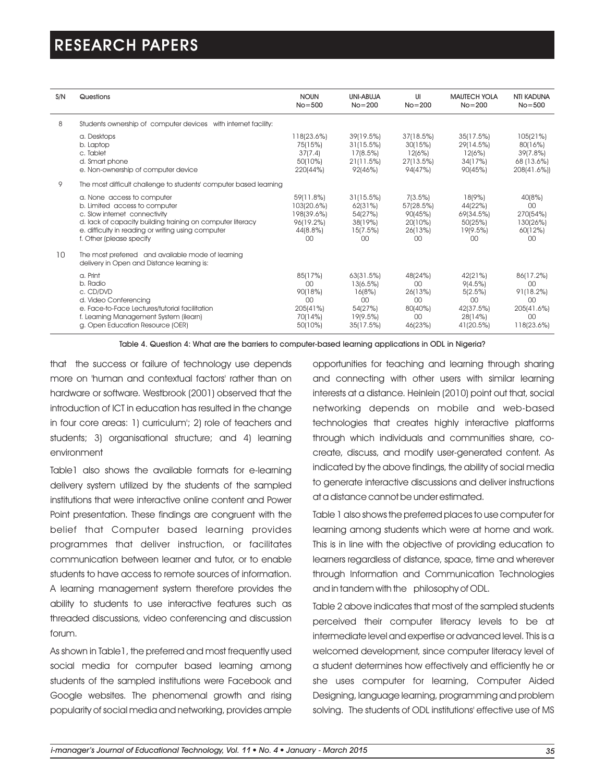| S/N | Questions                                                                                                                                                                                                                                    | <b>NOUN</b><br>$No = 500$                                            | UNI-ABUJA<br>$No = 200$                                                   | UI<br>$No = 200$                                            | <b>MAUTECH YOLA</b><br>$No = 200$                                        | <b>NTI KADUNA</b><br>$No = 500$                                      |
|-----|----------------------------------------------------------------------------------------------------------------------------------------------------------------------------------------------------------------------------------------------|----------------------------------------------------------------------|---------------------------------------------------------------------------|-------------------------------------------------------------|--------------------------------------------------------------------------|----------------------------------------------------------------------|
| 8   | Students ownership of computer devices with internet facility:                                                                                                                                                                               |                                                                      |                                                                           |                                                             |                                                                          |                                                                      |
|     | a. Desktops<br>b. Laptop<br>c. Tablet<br>d. Smart phone<br>e. Non-ownership of computer device                                                                                                                                               | 118(23.6%)<br>75(15%)<br>37(7.4)<br>50(10%)<br>220(44%)              | 39(19.5%)<br>31(15.5%)<br>17(8.5%)<br>21(11.5%)<br>92(46%)                | 37(18.5%)<br>30(15%)<br>12(6%)<br>27(13.5%)<br>94(47%)      | 35(17.5%)<br>29(14.5%)<br>12(6%)<br>34(17%)<br>90(45%)                   | 105(21%)<br>80(16%)<br>39(7.8%)<br>68 (13.6%)<br>208(41.6%))         |
| 9   | The most difficult challenge to students' computer based learning                                                                                                                                                                            |                                                                      |                                                                           |                                                             |                                                                          |                                                                      |
|     | a. None access to computer<br>b. Limited access to computer<br>c. Slow internet connectivity<br>d. lack of capacity building training on computer literacy<br>e. difficulty in reading or writing using computer<br>f. Other (please specify | 59(11.8%)<br>103(20.6%)<br>198(39.6%)<br>96(19.2%)<br>44(8.8%)<br>00 | 31(15.5%)<br>62(31%)<br>54(27%)<br>38(19%)<br>15(7.5%)<br>00              | 7(3.5%)<br>57(28.5%)<br>90(45%)<br>20(10%)<br>26(13%)<br>00 | 18(9%)<br>44(22%)<br>69(34.5%)<br>50(25%)<br>19(9.5%)<br>00              | 40(8%)<br>00<br>270(54%)<br>130(26%)<br>60(12%)<br>00                |
| 10  | The most preferred and available mode of learning<br>delivery in Open and Distance learning is:                                                                                                                                              |                                                                      |                                                                           |                                                             |                                                                          |                                                                      |
|     | a. Print<br>b. Radio<br>c. CD/DVD<br>d. Video Conferencing<br>e. Face-to-Face Lectures/tutorial facilitation<br>f. Learning Management System (ilearn)<br>g. Open Education Resource (OER)                                                   | 85(17%)<br>00<br>90(18%)<br>00<br>205(41%)<br>70(14%)<br>50(10%)     | 63(31.5%)<br>13(6.5%)<br>16(8%)<br>00<br>54(27%)<br>19(9.5%)<br>35(17.5%) | 48(24%)<br>00<br>26(13%)<br>00<br>80(40%)<br>00<br>46(23%)  | 42(21%)<br>9(4.5%)<br>5(2.5%)<br>00<br>42(37.5%)<br>28(14%)<br>41(20.5%) | 86(17.2%)<br>00<br>91(18.2%)<br>00<br>205(41.6%)<br>00<br>118(23.6%) |

Table 4. Question 4: What are the barriers to computer-based learning applications in ODL in Nigeria?

that the success or failure of technology use depends more on 'human and contextual factors' rather than on hardware or software. Westbrook (2001) observed that the introduction of ICT in education has resulted in the change in four core areas: 1) curriculum'; 2) role of teachers and students; 3) organisational structure; and 4) learning environment

Table1 also shows the available formats for e-learning delivery system utilized by the students of the sampled institutions that were interactive online content and Power Point presentation. These findings are congruent with the belief that Computer based learning provides programmes that deliver instruction, or facilitates communication between learner and tutor, or to enable students to have access to remote sources of information. A learning management system therefore provides the ability to students to use interactive features such as threaded discussions, video conferencing and discussion forum.

As shown in Table1, the preferred and most frequently used social media for computer based learning among students of the sampled institutions were Facebook and Google websites. The phenomenal growth and rising popularity of social media and networking, provides ample opportunities for teaching and learning through sharing and connecting with other users with similar learning interests at a distance. Heinlein (2010) point out that, social networking depends on mobile and web-based technologies that creates highly interactive platforms through which individuals and communities share, cocreate, discuss, and modify user-generated content. As indicated by the above findings, the ability of social media to generate interactive discussions and deliver instructions at a distance cannot be under estimated.

Table 1 also shows the preferred places to use computer for learning among students which were at home and work. This is in line with the objective of providing education to learners regardless of distance, space, time and wherever through Information and Communication Technologies and in tandem with the philosophy of ODL.

Table 2 above indicates that most of the sampled students perceived their computer literacy levels to be at intermediate level and expertise or advanced level. This is a welcomed development, since computer literacy level of a student determines how effectively and efficiently he or she uses computer for learning, Computer Aided Designing, language learning, programming and problem solving. The students of ODL institutions' effective use of MS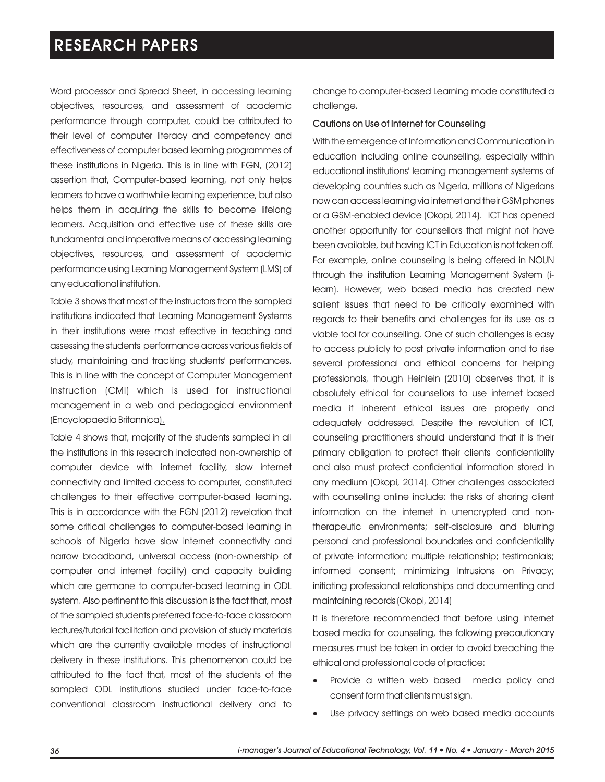Word processor and Spread Sheet, in accessing learning objectives, resources, and assessment of academic performance through computer, could be attributed to their level of computer literacy and competency and effectiveness of computer based learning programmes of these institutions in Nigeria. This is in line with FGN, (2012) assertion that, Computer-based learning, not only helps learners to have a worthwhile learning experience, but also helps them in acquiring the skills to become lifelong learners. Acquisition and effective use of these skills are fundamental and imperative means of accessing learning objectives, resources, and assessment of academic performance using Learning Management System (LMS) of any educational institution.

Table 3 shows that most of the instructors from the sampled institutions indicated that Learning Management Systems in their institutions were most effective in teaching and assessing the students' performance across various fields of study, maintaining and tracking students' performances. This is in line with the concept of Computer Management Instruction (CMI) which is used for instructional management in a web and pedagogical environment (Encyclopaedia Britannica).

Table 4 shows that, majority of the students sampled in all the institutions in this research indicated non-ownership of computer device with internet facility, slow internet connectivity and limited access to computer, constituted challenges to their effective computer-based learning. This is in accordance with the FGN (2012) revelation that some critical challenges to computer-based learning in schools of Nigeria have slow internet connectivity and narrow broadband, universal access (non-ownership of computer and internet facility) and capacity building which are germane to computer-based learning in ODL system. Also pertinent to this discussion is the fact that, most of the sampled students preferred face-to-face classroom lectures/tutorial facilitation and provision of study materials which are the currently available modes of instructional delivery in these institutions. This phenomenon could be attributed to the fact that, most of the students of the sampled ODL institutions studied under face-to-face conventional classroom instructional delivery and to

change to computer-based Learning mode constituted a challenge.

### Cautions on Use of Internet for Counseling

With the emergence of Information and Communication in education including online counselling, especially within educational institutions' learning management systems of developing countries such as Nigeria, millions of Nigerians now can access learning via internet and their GSM phones or a GSM-enabled device (Okopi, 2014). ICT has opened another opportunity for counsellors that might not have been available, but having ICT in Education is not taken off. For example, online counseling is being offered in NOUN through the institution Learning Management System (ilearn). However, web based media has created new salient issues that need to be critically examined with regards to their benefits and challenges for its use as a viable tool for counselling. One of such challenges is easy to access publicly to post private information and to rise several professional and ethical concerns for helping professionals, though Heinlein (2010) observes that, it is absolutely ethical for counsellors to use internet based media if inherent ethical issues are properly and adequately addressed. Despite the revolution of ICT, counseling practitioners should understand that it is their primary obligation to protect their clients' confidentiality and also must protect confidential information stored in any medium (Okopi, 2014). Other challenges associated with counselling online include: the risks of sharing client information on the internet in unencrypted and nontherapeutic environments; self-disclosure and blurring personal and professional boundaries and confidentiality of private information; multiple relationship; testimonials; informed consent; minimizing Intrusions on Privacy; initiating professional relationships and documenting and maintaining records (Okopi, 2014)

It is therefore recommended that before using internet based media for counseling, the following precautionary measures must be taken in order to avoid breaching the ethical and professional code of practice:

- Provide a written web based media policy and consent form that clients must sign.
- Use privacy settings on web based media accounts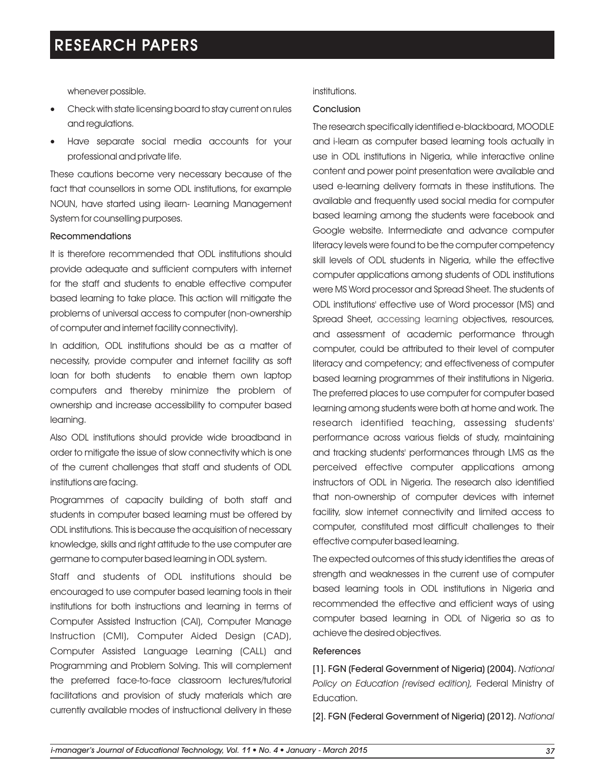whenever possible.

- ·Check with state licensing board to stay current on rules and regulations.
- ·Have separate social media accounts for your professional and private life.

These cautions become very necessary because of the fact that counsellors in some ODL institutions, for example NOUN, have started using ilearn- Learning Management System for counselling purposes.

#### Recommendations

It is therefore recommended that ODL institutions should provide adequate and sufficient computers with internet for the staff and students to enable effective computer based learning to take place. This action will mitigate the problems of universal access to computer (non-ownership of computer and internet facility connectivity).

In addition, ODL institutions should be as a matter of necessity, provide computer and internet facility as soft loan for both students to enable them own laptop computers and thereby minimize the problem of ownership and increase accessibility to computer based learning.

Also ODL institutions should provide wide broadband in order to mitigate the issue of slow connectivity which is one of the current challenges that staff and students of ODL institutions are facing.

Programmes of capacity building of both staff and students in computer based learning must be offered by ODL institutions. This is because the acquisition of necessary knowledge, skills and right attitude to the use computer are germane to computer based learning in ODL system.

Staff and students of ODL institutions should be encouraged to use computer based learning tools in their institutions for both instructions and learning in terms of Computer Assisted Instruction (CAI), Computer Manage Instruction (CMI), Computer Aided Design (CAD), Computer Assisted Language Learning (CALL) and Programming and Problem Solving. This will complement the preferred face-to-face classroom lectures/tutorial facilitations and provision of study materials which are currently available modes of instructional delivery in these

### institutions.

### Conclusion

The research specifically identified e-blackboard, MOODLE and i-learn as computer based learning tools actually in use in ODL institutions in Nigeria, while interactive online content and power point presentation were available and used e-learning delivery formats in these institutions. The available and frequently used social media for computer based learning among the students were facebook and Google website. Intermediate and advance computer literacy levels were found to be the computer competency skill levels of ODL students in Nigeria, while the effective computer applications among students of ODL institutions were MS Word processor and Spread Sheet. The students of ODL institutions' effective use of Word processor (MS) and Spread Sheet, accessing learning objectives, resources, and assessment of academic performance through computer, could be attributed to their level of computer literacy and competency; and effectiveness of computer based learning programmes of their institutions in Nigeria. The preferred places to use computer for computer based learning among students were both at home and work. The research identified teaching, assessing students' performance across various fields of study, maintaining and tracking students' performances through LMS as the perceived effective computer applications among instructors of ODL in Nigeria. The research also identified that non-ownership of computer devices with internet facility, slow internet connectivity and limited access to computer, constituted most difficult challenges to their effective computer based learning.

The expected outcomes of this study identifies the areas of strength and weaknesses in the current use of computer based learning tools in ODL institutions in Nigeria and recommended the effective and efficient ways of using computer based learning in ODL of Nigeria so as to achieve the desired objectives.

### References

[1]. FGN (Federal Government of Nigeria) (2004). *National Policy on Education (revised edition),* Federal Ministry of Education.

[2]. FGN (Federal Government of Nigeria) (2012). *National*